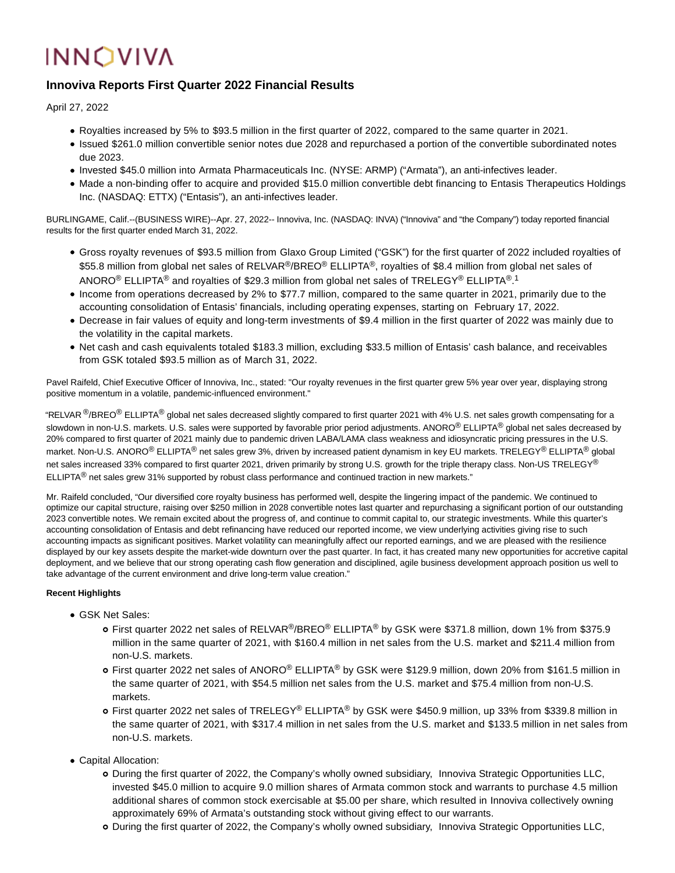# **INNOVIVA**

# **Innoviva Reports First Quarter 2022 Financial Results**

April 27, 2022

- Royalties increased by 5% to \$93.5 million in the first quarter of 2022, compared to the same quarter in 2021.
- Issued \$261.0 million convertible senior notes due 2028 and repurchased a portion of the convertible subordinated notes due 2023.
- Invested \$45.0 million into Armata Pharmaceuticals Inc. (NYSE: ARMP) ("Armata"), an anti-infectives leader.
- Made a non-binding offer to acquire and provided \$15.0 million convertible debt financing to Entasis Therapeutics Holdings Inc. (NASDAQ: ETTX) ("Entasis"), an anti-infectives leader.

BURLINGAME, Calif.--(BUSINESS WIRE)--Apr. 27, 2022-- Innoviva, Inc. (NASDAQ: INVA) ("Innoviva" and "the Company") today reported financial results for the first quarter ended March 31, 2022.

- Gross royalty revenues of \$93.5 million from Glaxo Group Limited ("GSK") for the first quarter of 2022 included royalties of \$55.8 million from global net sales of RELVAR<sup>®</sup>/BREO<sup>®</sup> ELLIPTA<sup>®</sup>, royalties of \$8.4 million from global net sales of <code>ANORO®</code> <code>ELLIPTA®</code> and royalties of \$29.3 million from global net sales of <code>TRELEGY®</code> <code>ELLIPTA®.1</code>
- Income from operations decreased by 2% to \$77.7 million, compared to the same quarter in 2021, primarily due to the accounting consolidation of Entasis' financials, including operating expenses, starting on February 17, 2022.
- Decrease in fair values of equity and long-term investments of \$9.4 million in the first quarter of 2022 was mainly due to the volatility in the capital markets.
- Net cash and cash equivalents totaled \$183.3 million, excluding \$33.5 million of Entasis' cash balance, and receivables from GSK totaled \$93.5 million as of March 31, 2022.

Pavel Raifeld, Chief Executive Officer of Innoviva, Inc., stated: "Our royalty revenues in the first quarter grew 5% year over year, displaying strong positive momentum in a volatile, pandemic-influenced environment."

"RELVAR <sup>®</sup>/BREO<sup>®</sup> ELLIPTA<sup>®</sup> global net sales decreased slightly compared to first quarter 2021 with 4% U.S. net sales growth compensating for a slowdown in non-U.S. markets. U.S. sales were supported by favorable prior period adjustments. ANORO® ELLIPTA® global net sales decreased by 20% compared to first quarter of 2021 mainly due to pandemic driven LABA/LAMA class weakness and idiosyncratic pricing pressures in the U.S. market. Non-U.S. ANORO<sup>®</sup> ELLIPTA<sup>®</sup> net sales grew 3%, driven by increased patient dynamism in key EU markets. TRELEGY<sup>®</sup> ELLIPTA<sup>®</sup> global net sales increased 33% compared to first quarter 2021, driven primarily by strong U.S. growth for the triple therapy class. Non-US TRELEGY<sup>®</sup> ELLIPTA<sup>®</sup> net sales grew 31% supported by robust class performance and continued traction in new markets."

Mr. Raifeld concluded, "Our diversified core royalty business has performed well, despite the lingering impact of the pandemic. We continued to optimize our capital structure, raising over \$250 million in 2028 convertible notes last quarter and repurchasing a significant portion of our outstanding 2023 convertible notes. We remain excited about the progress of, and continue to commit capital to, our strategic investments. While this quarter's accounting consolidation of Entasis and debt refinancing have reduced our reported income, we view underlying activities giving rise to such accounting impacts as significant positives. Market volatility can meaningfully affect our reported earnings, and we are pleased with the resilience displayed by our key assets despite the market-wide downturn over the past quarter. In fact, it has created many new opportunities for accretive capital deployment, and we believe that our strong operating cash flow generation and disciplined, agile business development approach position us well to take advantage of the current environment and drive long-term value creation."

## **Recent Highlights**

- GSK Net Sales:
	- o First quarter 2022 net sales of RELVAR<sup>®</sup>/BREO® ELLIPTA<sup>®</sup> by GSK were \$371.8 million, down 1% from \$375.9 million in the same quarter of 2021, with \$160.4 million in net sales from the U.S. market and \$211.4 million from non-U.S. markets.
	- o First quarter 2022 net sales of ANORO® ELLIPTA® by GSK were \$129.9 million, down 20% from \$161.5 million in the same quarter of 2021, with \$54.5 million net sales from the U.S. market and \$75.4 million from non-U.S. markets.
	- First quarter 2022 net sales of TRELEGY® ELLIPTA® by GSK were \$450.9 million, up 33% from \$339.8 million in the same quarter of 2021, with \$317.4 million in net sales from the U.S. market and \$133.5 million in net sales from non-U.S. markets.
- Capital Allocation:
	- During the first quarter of 2022, the Company's wholly owned subsidiary, Innoviva Strategic Opportunities LLC, invested \$45.0 million to acquire 9.0 million shares of Armata common stock and warrants to purchase 4.5 million additional shares of common stock exercisable at \$5.00 per share, which resulted in Innoviva collectively owning approximately 69% of Armata's outstanding stock without giving effect to our warrants.
	- During the first quarter of 2022, the Company's wholly owned subsidiary, Innoviva Strategic Opportunities LLC,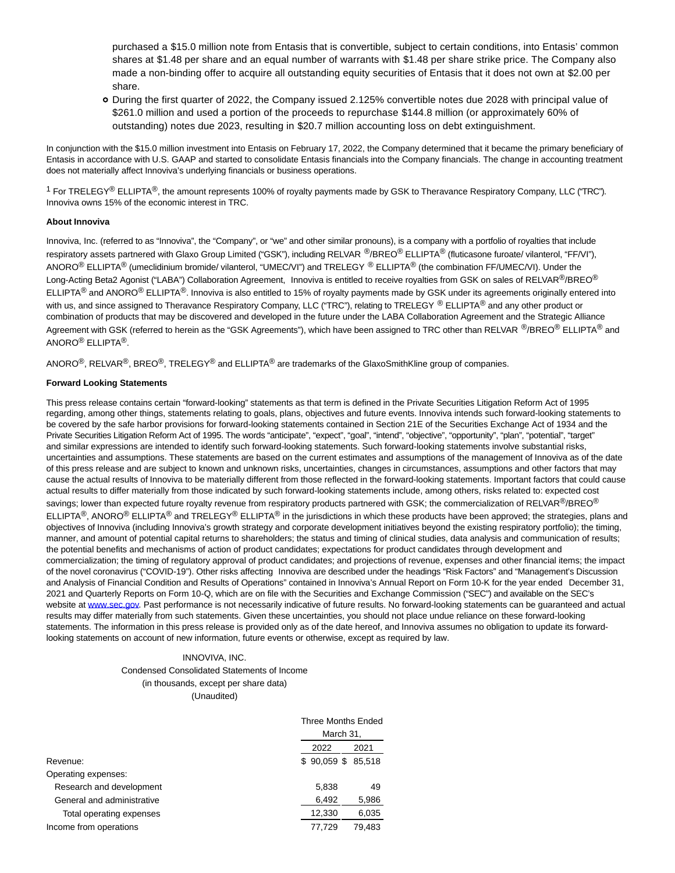purchased a \$15.0 million note from Entasis that is convertible, subject to certain conditions, into Entasis' common shares at \$1.48 per share and an equal number of warrants with \$1.48 per share strike price. The Company also made a non-binding offer to acquire all outstanding equity securities of Entasis that it does not own at \$2.00 per share.

During the first quarter of 2022, the Company issued 2.125% convertible notes due 2028 with principal value of \$261.0 million and used a portion of the proceeds to repurchase \$144.8 million (or approximately 60% of outstanding) notes due 2023, resulting in \$20.7 million accounting loss on debt extinguishment.

In conjunction with the \$15.0 million investment into Entasis on February 17, 2022, the Company determined that it became the primary beneficiary of Entasis in accordance with U.S. GAAP and started to consolidate Entasis financials into the Company financials. The change in accounting treatment does not materially affect Innoviva's underlying financials or business operations.

<sup>1</sup> For TRELEGY<sup>®</sup> ELLIPTA<sup>®</sup>, the amount represents 100% of royalty payments made by GSK to Theravance Respiratory Company, LLC ("TRC"). Innoviva owns 15% of the economic interest in TRC.

#### **About Innoviva**

Innoviva, Inc. (referred to as "Innoviva", the "Company", or "we" and other similar pronouns), is a company with a portfolio of royalties that include respiratory assets partnered with Glaxo Group Limited ("GSK"), including RELVAR <sup>@</sup>/BREO<sup>®</sup> ELLIPTA<sup>®</sup> (fluticasone furoate/ vilanterol, "FF/VI"), ANORO<sup>®</sup> ELLIPTA<sup>®</sup> (umeclidinium bromide/ vilanterol, "UMEC/VI") and TRELEGY ® ELLIPTA<sup>®</sup> (the combination FF/UMEC/VI). Under the Long-Acting Beta2 Agonist ("LABA") Collaboration Agreement, Innoviva is entitled to receive royalties from GSK on sales of RELVAR<sup>®</sup>/BREO<sup>®</sup> ELLIPTA<sup>®</sup> and ANORO<sup>®</sup> ELLIPTA<sup>®</sup>. Innoviva is also entitled to 15% of royalty payments made by GSK under its agreements originally entered into with us, and since assigned to Theravance Respiratory Company, LLC ("TRC"), relating to TRELEGY ® ELLIPTA® and any other product or combination of products that may be discovered and developed in the future under the LABA Collaboration Agreement and the Strategic Alliance Agreement with GSK (referred to herein as the "GSK Agreements"), which have been assigned to TRC other than RELVAR <sup>®</sup>/BREO<sup>®</sup> ELLIPTA<sup>®</sup> and ANORO® ELLIPTA®.

ANORO<sup>®</sup>, RELVAR<sup>®</sup>, BREO<sup>®</sup>, TRELEGY<sup>®</sup> and ELLIPTA<sup>®</sup> are trademarks of the GlaxoSmithKline group of companies.

#### **Forward Looking Statements**

This press release contains certain "forward-looking" statements as that term is defined in the Private Securities Litigation Reform Act of 1995 regarding, among other things, statements relating to goals, plans, objectives and future events. Innoviva intends such forward-looking statements to be covered by the safe harbor provisions for forward-looking statements contained in Section 21E of the Securities Exchange Act of 1934 and the Private Securities Litigation Reform Act of 1995. The words "anticipate", "expect", "goal", "intend", "objective", "opportunity", "plan", "potential", "target" and similar expressions are intended to identify such forward-looking statements. Such forward-looking statements involve substantial risks, uncertainties and assumptions. These statements are based on the current estimates and assumptions of the management of Innoviva as of the date of this press release and are subject to known and unknown risks, uncertainties, changes in circumstances, assumptions and other factors that may cause the actual results of Innoviva to be materially different from those reflected in the forward-looking statements. Important factors that could cause actual results to differ materially from those indicated by such forward-looking statements include, among others, risks related to: expected cost savings; lower than expected future royalty revenue from respiratory products partnered with GSK; the commercialization of RELVAR<sup>®</sup>/BREO<sup>®</sup> ELLIPTA<sup>®</sup>, ANORO<sup>®</sup> ELLIPTA<sup>®</sup> and TRELEGY<sup>®</sup> ELLIPTA<sup>®</sup> in the jurisdictions in which these products have been approved; the strategies, plans and objectives of Innoviva (including Innoviva's growth strategy and corporate development initiatives beyond the existing respiratory portfolio); the timing, manner, and amount of potential capital returns to shareholders; the status and timing of clinical studies, data analysis and communication of results; the potential benefits and mechanisms of action of product candidates; expectations for product candidates through development and commercialization; the timing of regulatory approval of product candidates; and projections of revenue, expenses and other financial items; the impact of the novel coronavirus ("COVID-19"). Other risks affecting Innoviva are described under the headings "Risk Factors" and "Management's Discussion and Analysis of Financial Condition and Results of Operations" contained in Innoviva's Annual Report on Form 10-K for the year ended December 31, 2021 and Quarterly Reports on Form 10-Q, which are on file with the Securities and Exchange Commission ("SEC") and available on the SEC's website at [www.sec.gov.](https://cts.businesswire.com/ct/CT?id=smartlink&url=http%3A%2F%2Fwww.sec.gov&esheet=52699636&newsitemid=20220427005954&lan=en-US&anchor=www.sec.gov&index=1&md5=8680e85c448fa72fb276b2562c763d6d) Past performance is not necessarily indicative of future results. No forward-looking statements can be guaranteed and actual results may differ materially from such statements. Given these uncertainties, you should not place undue reliance on these forward-looking statements. The information in this press release is provided only as of the date hereof, and Innoviva assumes no obligation to update its forwardlooking statements on account of new information, future events or otherwise, except as required by law.

#### INNOVIVA, INC.

### Condensed Consolidated Statements of Income (in thousands, except per share data) (Unaudited)

|                            |                     | <b>Three Months Ended</b><br>March 31, |  |  |
|----------------------------|---------------------|----------------------------------------|--|--|
|                            | 2022                | 2021                                   |  |  |
| Revenue:                   | $$90,059$ \$ 85,518 |                                        |  |  |
| Operating expenses:        |                     |                                        |  |  |
| Research and development   | 5,838               | 49                                     |  |  |
| General and administrative | 6,492               | 5,986                                  |  |  |
| Total operating expenses   | 12,330              | 6,035                                  |  |  |
| Income from operations     | 77.729              | 79.483                                 |  |  |
|                            |                     |                                        |  |  |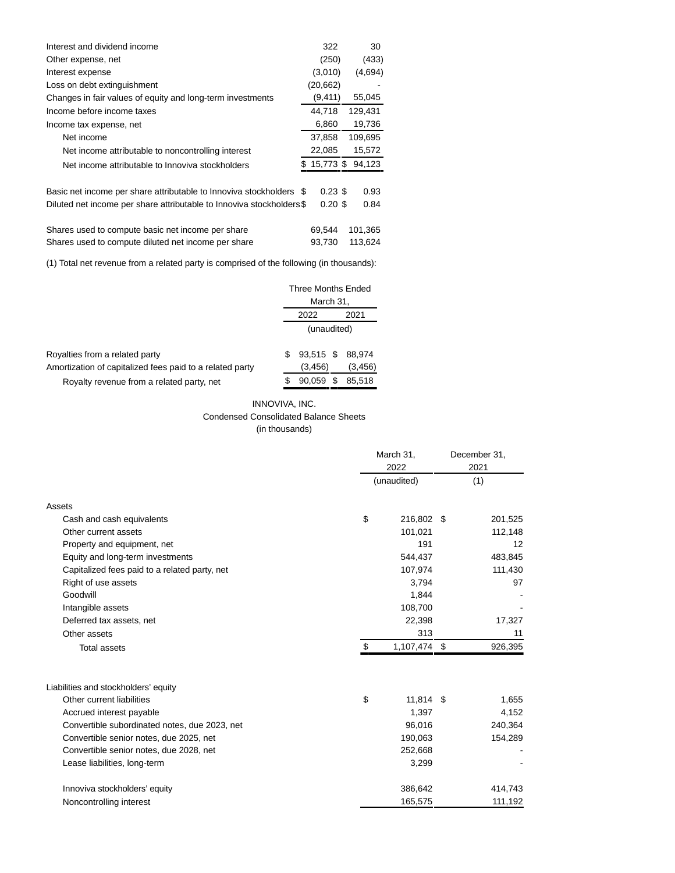| Interest and dividend income                                          |     | 322       | 30      |
|-----------------------------------------------------------------------|-----|-----------|---------|
| Other expense, net                                                    |     | (250)     | (433)   |
| Interest expense                                                      |     | (3,010)   | (4,694) |
| Loss on debt extinguishment                                           |     | (20, 662) |         |
| Changes in fair values of equity and long-term investments            |     | (9, 411)  | 55,045  |
| Income before income taxes                                            |     | 44,718    | 129,431 |
| Income tax expense, net                                               |     | 6,860     | 19,736  |
| Net income                                                            |     | 37,858    | 109,695 |
| Net income attributable to noncontrolling interest                    |     | 22,085    | 15,572  |
| Net income attributable to Innoviva stockholders                      | \$. | 15,773 \$ | 94,123  |
|                                                                       |     |           |         |
| Basic net income per share attributable to Innoviva stockholders \$   |     | $0.23$ \$ | 0.93    |
| Diluted net income per share attributable to Innoviva stockholders \$ |     | $0.20$ \$ | 0.84    |
|                                                                       |     |           |         |
| Shares used to compute basic net income per share                     |     | 69,544    | 101,365 |
| Shares used to compute diluted net income per share                   |     | 93.730    | 113,624 |

(1) Total net revenue from a related party is comprised of the following (in thousands):

|                                                          |   | <b>Three Months Ended</b><br>March 31, |  |          |
|----------------------------------------------------------|---|----------------------------------------|--|----------|
|                                                          |   |                                        |  |          |
|                                                          |   | 2022                                   |  | 2021     |
|                                                          |   | (unaudited)                            |  |          |
| Royalties from a related party                           | S | 93,515 \$                              |  | 88.974   |
| Amortization of capitalized fees paid to a related party |   | (3, 456)                               |  | (3, 456) |
| Royalty revenue from a related party, net                |   | 90.059                                 |  | 85.518   |

# INNOVIVA, INC. Condensed Consolidated Balance Sheets

(in thousands)

|                                               |             | March 31,<br>2022 |     | December 31,<br>2021 |  |  |
|-----------------------------------------------|-------------|-------------------|-----|----------------------|--|--|
|                                               | (unaudited) |                   | (1) |                      |  |  |
| Assets                                        |             |                   |     |                      |  |  |
| Cash and cash equivalents                     | \$          | 216,802 \$        |     | 201,525              |  |  |
| Other current assets                          |             | 101,021           |     | 112,148              |  |  |
| Property and equipment, net                   |             | 191               |     | $12 \overline{ }$    |  |  |
| Equity and long-term investments              |             | 544,437           |     | 483,845              |  |  |
| Capitalized fees paid to a related party, net |             | 107,974           |     | 111,430              |  |  |
| Right of use assets                           |             | 3,794             |     | 97                   |  |  |
| Goodwill                                      |             | 1,844             |     |                      |  |  |
| Intangible assets                             |             | 108,700           |     |                      |  |  |
| Deferred tax assets, net                      |             | 22,398            |     | 17,327               |  |  |
| Other assets                                  |             | 313               |     | 11                   |  |  |
| <b>Total assets</b>                           | \$          | 1,107,474 \$      |     | 926,395              |  |  |
| Liabilities and stockholders' equity          |             |                   |     |                      |  |  |
| Other current liabilities                     | \$          | 11,814 \$         |     | 1,655                |  |  |
| Accrued interest payable                      |             | 1,397             |     | 4,152                |  |  |
| Convertible subordinated notes, due 2023, net |             | 96,016            |     | 240,364              |  |  |
| Convertible senior notes, due 2025, net       |             | 190,063           |     | 154,289              |  |  |
| Convertible senior notes, due 2028, net       |             | 252,668           |     |                      |  |  |
| Lease liabilities, long-term                  |             | 3,299             |     |                      |  |  |
| Innoviva stockholders' equity                 |             | 386,642           |     | 414,743              |  |  |
| Noncontrolling interest                       |             | 165,575           |     | 111,192              |  |  |